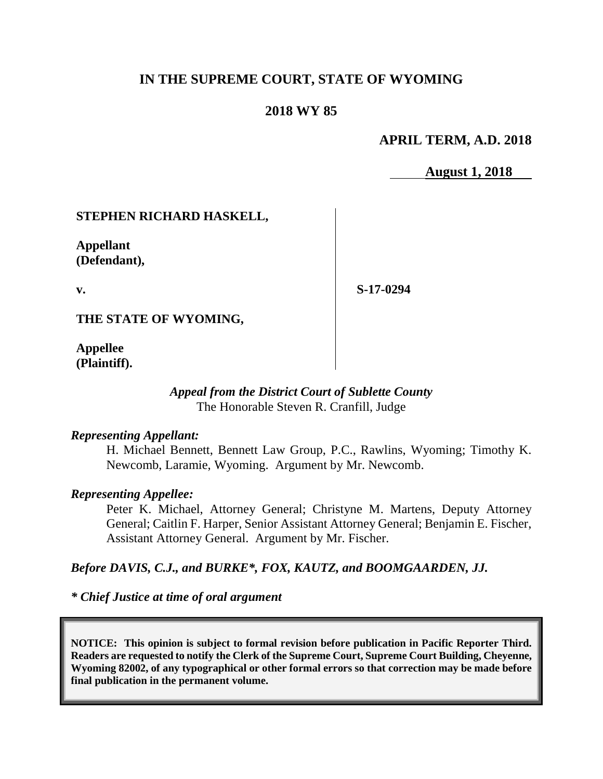## **IN THE SUPREME COURT, STATE OF WYOMING**

### **2018 WY 85**

### **APRIL TERM, A.D. 2018**

**August 1, 2018**

### **STEPHEN RICHARD HASKELL,**

**Appellant (Defendant),**

**v.**

**S-17-0294**

**THE STATE OF WYOMING,**

**Appellee (Plaintiff).**

#### *Appeal from the District Court of Sublette County* The Honorable Steven R. Cranfill, Judge

#### *Representing Appellant:*

H. Michael Bennett, Bennett Law Group, P.C., Rawlins, Wyoming; Timothy K. Newcomb, Laramie, Wyoming. Argument by Mr. Newcomb.

#### *Representing Appellee:*

Peter K. Michael, Attorney General; Christyne M. Martens, Deputy Attorney General; Caitlin F. Harper, Senior Assistant Attorney General; Benjamin E. Fischer, Assistant Attorney General. Argument by Mr. Fischer.

#### *Before DAVIS, C.J., and BURKE\*, FOX, KAUTZ, and BOOMGAARDEN, JJ.*

*\* Chief Justice at time of oral argument*

**NOTICE: This opinion is subject to formal revision before publication in Pacific Reporter Third. Readers are requested to notify the Clerk of the Supreme Court, Supreme Court Building, Cheyenne, Wyoming 82002, of any typographical or other formal errors so that correction may be made before final publication in the permanent volume.**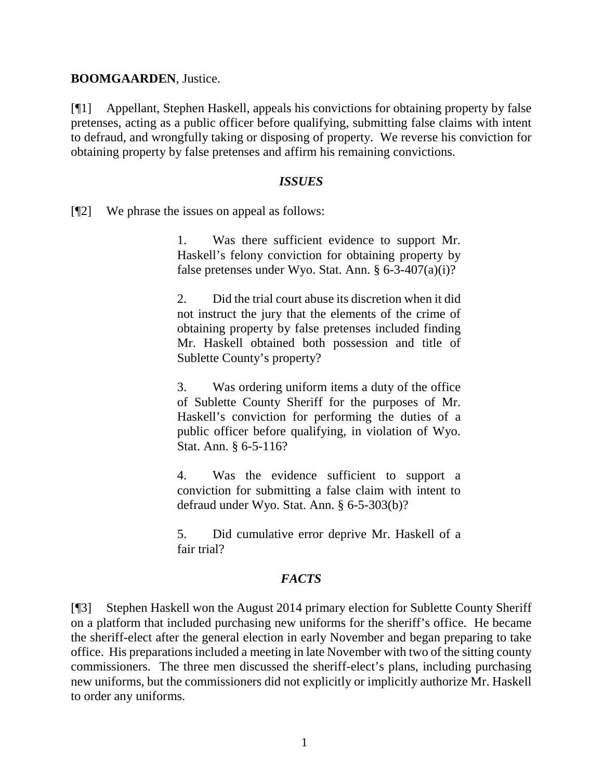#### **BOOMGAARDEN**, Justice.

[¶1] Appellant, Stephen Haskell, appeals his convictions for obtaining property by false pretenses, acting as a public officer before qualifying, submitting false claims with intent to defraud, and wrongfully taking or disposing of property. We reverse his conviction for obtaining property by false pretenses and affirm his remaining convictions.

#### *ISSUES*

[¶2] We phrase the issues on appeal as follows:

1. Was there sufficient evidence to support Mr. Haskell's felony conviction for obtaining property by false pretenses under Wyo. Stat. Ann.  $\S 6$ -3-407(a)(i)?

2. Did the trial court abuse its discretion when it did not instruct the jury that the elements of the crime of obtaining property by false pretenses included finding Mr. Haskell obtained both possession and title of Sublette County's property?

3. Was ordering uniform items a duty of the office of Sublette County Sheriff for the purposes of Mr. Haskell's conviction for performing the duties of a public officer before qualifying, in violation of Wyo. Stat. Ann. § 6-5-116?

4. Was the evidence sufficient to support a conviction for submitting a false claim with intent to defraud under Wyo. Stat. Ann. § 6-5-303(b)?

5. Did cumulative error deprive Mr. Haskell of a fair trial?

#### *FACTS*

[¶3] Stephen Haskell won the August 2014 primary election for Sublette County Sheriff on a platform that included purchasing new uniforms for the sheriff's office. He became the sheriff-elect after the general election in early November and began preparing to take office. His preparations included a meeting in late November with two of the sitting county commissioners. The three men discussed the sheriff-elect's plans, including purchasing new uniforms, but the commissioners did not explicitly or implicitly authorize Mr. Haskell to order any uniforms.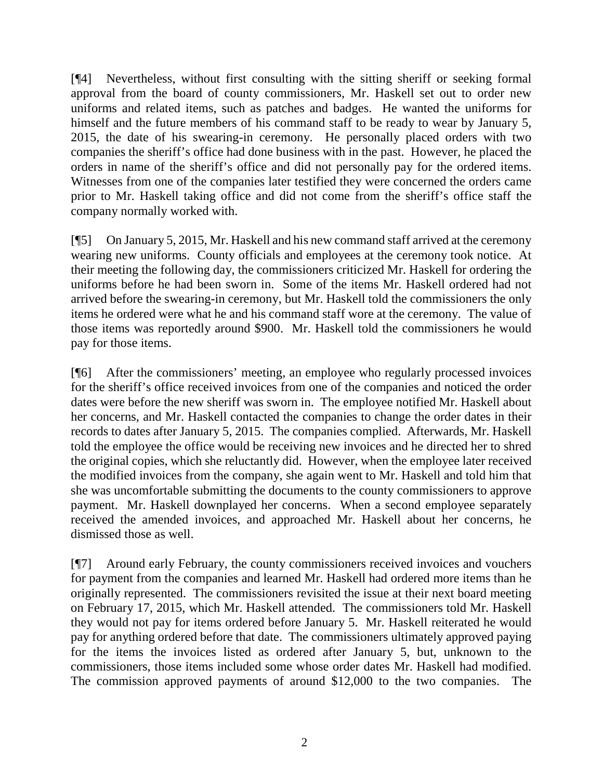[¶4] Nevertheless, without first consulting with the sitting sheriff or seeking formal approval from the board of county commissioners, Mr. Haskell set out to order new uniforms and related items, such as patches and badges. He wanted the uniforms for himself and the future members of his command staff to be ready to wear by January 5, 2015, the date of his swearing-in ceremony. He personally placed orders with two companies the sheriff's office had done business with in the past. However, he placed the orders in name of the sheriff's office and did not personally pay for the ordered items. Witnesses from one of the companies later testified they were concerned the orders came prior to Mr. Haskell taking office and did not come from the sheriff's office staff the company normally worked with.

[¶5] On January 5, 2015, Mr. Haskell and his new command staff arrived at the ceremony wearing new uniforms. County officials and employees at the ceremony took notice. At their meeting the following day, the commissioners criticized Mr. Haskell for ordering the uniforms before he had been sworn in. Some of the items Mr. Haskell ordered had not arrived before the swearing-in ceremony, but Mr. Haskell told the commissioners the only items he ordered were what he and his command staff wore at the ceremony. The value of those items was reportedly around \$900. Mr. Haskell told the commissioners he would pay for those items.

[¶6] After the commissioners' meeting, an employee who regularly processed invoices for the sheriff's office received invoices from one of the companies and noticed the order dates were before the new sheriff was sworn in. The employee notified Mr. Haskell about her concerns, and Mr. Haskell contacted the companies to change the order dates in their records to dates after January 5, 2015. The companies complied. Afterwards, Mr. Haskell told the employee the office would be receiving new invoices and he directed her to shred the original copies, which she reluctantly did. However, when the employee later received the modified invoices from the company, she again went to Mr. Haskell and told him that she was uncomfortable submitting the documents to the county commissioners to approve payment. Mr. Haskell downplayed her concerns. When a second employee separately received the amended invoices, and approached Mr. Haskell about her concerns, he dismissed those as well.

[¶7] Around early February, the county commissioners received invoices and vouchers for payment from the companies and learned Mr. Haskell had ordered more items than he originally represented. The commissioners revisited the issue at their next board meeting on February 17, 2015, which Mr. Haskell attended. The commissioners told Mr. Haskell they would not pay for items ordered before January 5. Mr. Haskell reiterated he would pay for anything ordered before that date. The commissioners ultimately approved paying for the items the invoices listed as ordered after January 5, but, unknown to the commissioners, those items included some whose order dates Mr. Haskell had modified. The commission approved payments of around \$12,000 to the two companies. The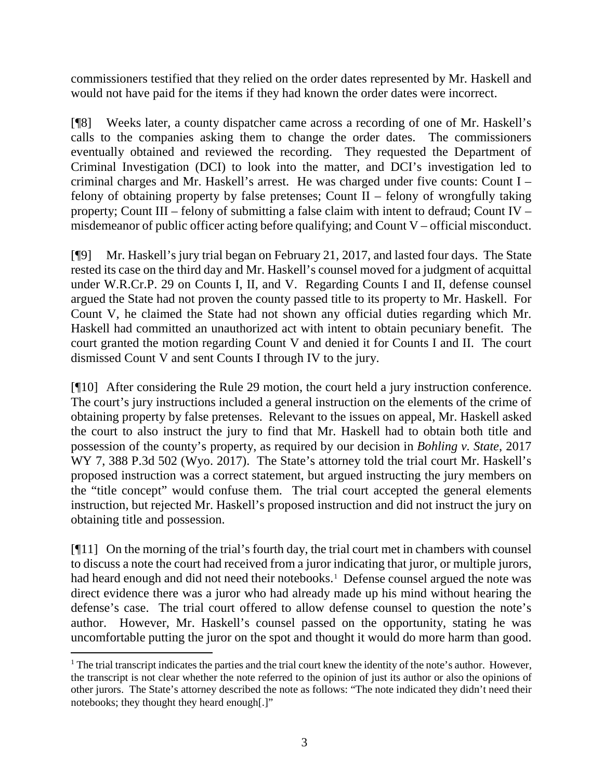commissioners testified that they relied on the order dates represented by Mr. Haskell and would not have paid for the items if they had known the order dates were incorrect.

[¶8] Weeks later, a county dispatcher came across a recording of one of Mr. Haskell's calls to the companies asking them to change the order dates. The commissioners eventually obtained and reviewed the recording. They requested the Department of Criminal Investigation (DCI) to look into the matter, and DCI's investigation led to criminal charges and Mr. Haskell's arrest. He was charged under five counts: Count I – felony of obtaining property by false pretenses; Count II – felony of wrongfully taking property; Count III – felony of submitting a false claim with intent to defraud; Count IV – misdemeanor of public officer acting before qualifying; and Count V – official misconduct.

[¶9] Mr. Haskell's jury trial began on February 21, 2017, and lasted four days. The State rested its case on the third day and Mr. Haskell's counsel moved for a judgment of acquittal under W.R.Cr.P. 29 on Counts I, II, and V. Regarding Counts I and II, defense counsel argued the State had not proven the county passed title to its property to Mr. Haskell. For Count V, he claimed the State had not shown any official duties regarding which Mr. Haskell had committed an unauthorized act with intent to obtain pecuniary benefit. The court granted the motion regarding Count V and denied it for Counts I and II. The court dismissed Count V and sent Counts I through IV to the jury.

[¶10] After considering the Rule 29 motion, the court held a jury instruction conference. The court's jury instructions included a general instruction on the elements of the crime of obtaining property by false pretenses. Relevant to the issues on appeal, Mr. Haskell asked the court to also instruct the jury to find that Mr. Haskell had to obtain both title and possession of the county's property, as required by our decision in *Bohling v. State*, 2017 WY 7, 388 P.3d 502 (Wyo. 2017). The State's attorney told the trial court Mr. Haskell's proposed instruction was a correct statement, but argued instructing the jury members on the "title concept" would confuse them. The trial court accepted the general elements instruction, but rejected Mr. Haskell's proposed instruction and did not instruct the jury on obtaining title and possession.

[¶11] On the morning of the trial's fourth day, the trial court met in chambers with counsel to discuss a note the court had received from a juror indicating that juror, or multiple jurors, had heard enough and did not need their notebooks.<sup>[1](#page-3-0)</sup> Defense counsel argued the note was direct evidence there was a juror who had already made up his mind without hearing the defense's case. The trial court offered to allow defense counsel to question the note's author. However, Mr. Haskell's counsel passed on the opportunity, stating he was uncomfortable putting the juror on the spot and thought it would do more harm than good.

<span id="page-3-0"></span><sup>&</sup>lt;sup>1</sup> The trial transcript indicates the parties and the trial court knew the identity of the note's author. However, the transcript is not clear whether the note referred to the opinion of just its author or also the opinions of other jurors. The State's attorney described the note as follows: "The note indicated they didn't need their notebooks; they thought they heard enough[.]"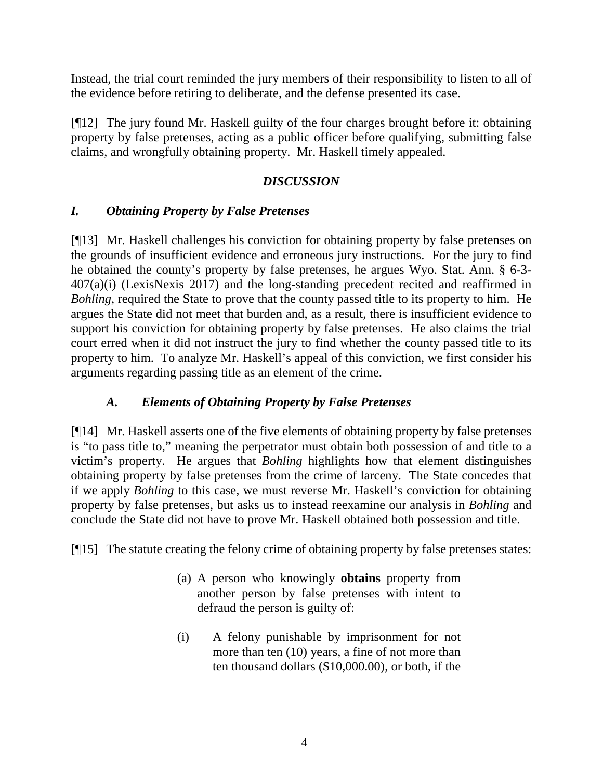Instead, the trial court reminded the jury members of their responsibility to listen to all of the evidence before retiring to deliberate, and the defense presented its case.

[¶12] The jury found Mr. Haskell guilty of the four charges brought before it: obtaining property by false pretenses, acting as a public officer before qualifying, submitting false claims, and wrongfully obtaining property. Mr. Haskell timely appealed.

## *DISCUSSION*

## *I. Obtaining Property by False Pretenses*

[¶13] Mr. Haskell challenges his conviction for obtaining property by false pretenses on the grounds of insufficient evidence and erroneous jury instructions. For the jury to find he obtained the county's property by false pretenses, he argues Wyo. Stat. Ann. § 6-3- 407(a)(i) (LexisNexis 2017) and the long-standing precedent recited and reaffirmed in *Bohling*, required the State to prove that the county passed title to its property to him. He argues the State did not meet that burden and, as a result, there is insufficient evidence to support his conviction for obtaining property by false pretenses. He also claims the trial court erred when it did not instruct the jury to find whether the county passed title to its property to him. To analyze Mr. Haskell's appeal of this conviction, we first consider his arguments regarding passing title as an element of the crime.

# *A. Elements of Obtaining Property by False Pretenses*

[¶14] Mr. Haskell asserts one of the five elements of obtaining property by false pretenses is "to pass title to," meaning the perpetrator must obtain both possession of and title to a victim's property. He argues that *Bohling* highlights how that element distinguishes obtaining property by false pretenses from the crime of larceny. The State concedes that if we apply *Bohling* to this case, we must reverse Mr. Haskell's conviction for obtaining property by false pretenses, but asks us to instead reexamine our analysis in *Bohling* and conclude the State did not have to prove Mr. Haskell obtained both possession and title.

[¶15] The statute creating the felony crime of obtaining property by false pretenses states:

- (a) A person who knowingly **obtains** property from another person by false pretenses with intent to defraud the person is guilty of:
- (i) A felony punishable by imprisonment for not more than ten (10) years, a fine of not more than ten thousand dollars (\$10,000.00), or both, if the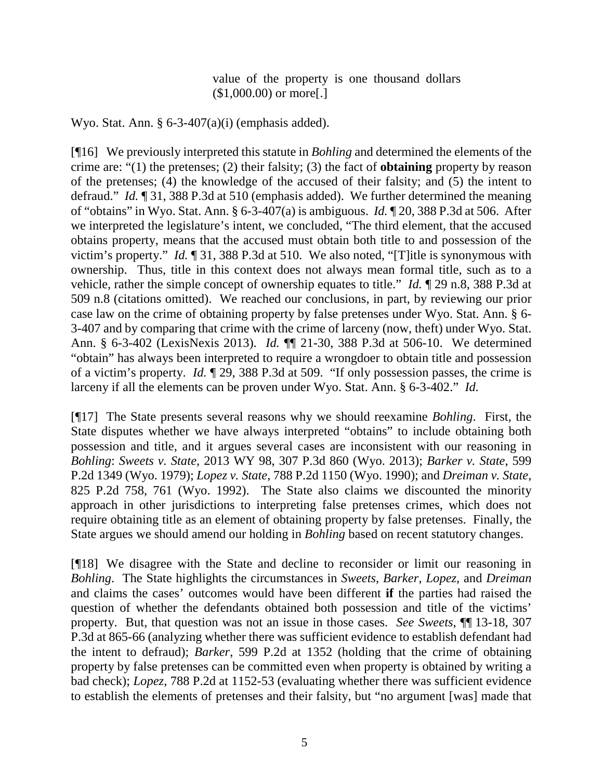value of the property is one thousand dollars (\$1,000.00) or more[.]

Wyo. Stat. Ann.  $\S 6$ -3-407(a)(i) (emphasis added).

[¶16] We previously interpreted this statute in *Bohling* and determined the elements of the crime are: "(1) the pretenses; (2) their falsity; (3) the fact of **obtaining** property by reason of the pretenses; (4) the knowledge of the accused of their falsity; and (5) the intent to defraud." *Id.* ¶ 31, 388 P.3d at 510 (emphasis added). We further determined the meaning of "obtains" in Wyo. Stat. Ann. § 6-3-407(a) is ambiguous. *Id.* ¶ 20, 388 P.3d at 506. After we interpreted the legislature's intent, we concluded, "The third element, that the accused obtains property, means that the accused must obtain both title to and possession of the victim's property." *Id.* ¶ 31, 388 P.3d at 510. We also noted, "[T]itle is synonymous with ownership. Thus, title in this context does not always mean formal title, such as to a vehicle, rather the simple concept of ownership equates to title." *Id.* ¶ 29 n.8, 388 P.3d at 509 n.8 (citations omitted). We reached our conclusions, in part, by reviewing our prior case law on the crime of obtaining property by false pretenses under Wyo. Stat. Ann. § 6- 3-407 and by comparing that crime with the crime of larceny (now, theft) under Wyo. Stat. Ann. § 6-3-402 (LexisNexis 2013). *Id.* ¶¶ 21-30, 388 P.3d at 506-10. We determined "obtain" has always been interpreted to require a wrongdoer to obtain title and possession of a victim's property. *Id.* ¶ 29, 388 P.3d at 509. "If only possession passes, the crime is larceny if all the elements can be proven under Wyo. Stat. Ann. § 6-3-402." *Id.*

[¶17] The State presents several reasons why we should reexamine *Bohling*. First, the State disputes whether we have always interpreted "obtains" to include obtaining both possession and title, and it argues several cases are inconsistent with our reasoning in *Bohling*: *Sweets v. State*, 2013 WY 98, 307 P.3d 860 (Wyo. 2013); *Barker v. State*, 599 P.2d 1349 (Wyo. 1979); *Lopez v. State*, 788 P.2d 1150 (Wyo. 1990); and *Dreiman v. State*, 825 P.2d 758, 761 (Wyo. 1992). The State also claims we discounted the minority approach in other jurisdictions to interpreting false pretenses crimes, which does not require obtaining title as an element of obtaining property by false pretenses. Finally, the State argues we should amend our holding in *Bohling* based on recent statutory changes.

[¶18] We disagree with the State and decline to reconsider or limit our reasoning in *Bohling*. The State highlights the circumstances in *Sweets*, *Barker*, *Lopez*, and *Dreiman* and claims the cases' outcomes would have been different **if** the parties had raised the question of whether the defendants obtained both possession and title of the victims' property. But, that question was not an issue in those cases. *See Sweets*, ¶¶ 13-18, 307 P.3d at 865-66 (analyzing whether there was sufficient evidence to establish defendant had the intent to defraud); *Barker*, 599 P.2d at 1352 (holding that the crime of obtaining property by false pretenses can be committed even when property is obtained by writing a bad check); *Lopez*, 788 P.2d at 1152-53 (evaluating whether there was sufficient evidence to establish the elements of pretenses and their falsity, but "no argument [was] made that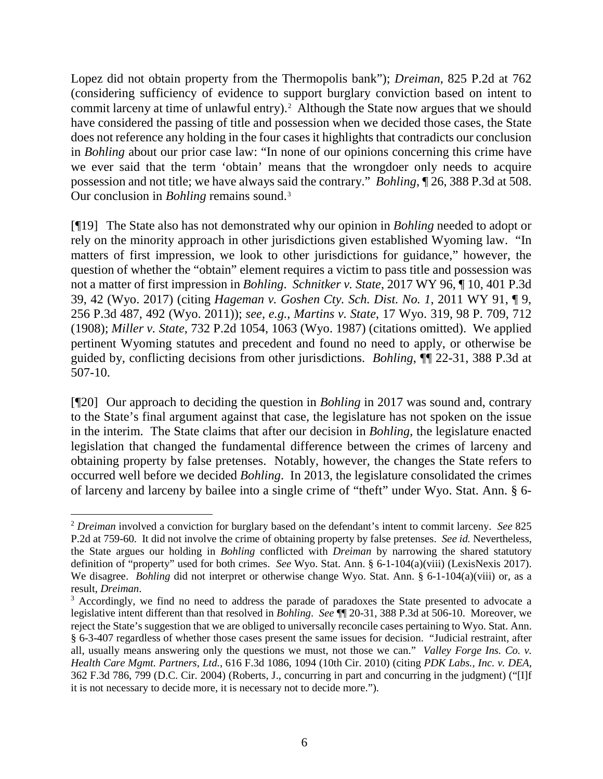Lopez did not obtain property from the Thermopolis bank"); *Dreiman*, 825 P.2d at 762 (considering sufficiency of evidence to support burglary conviction based on intent to commit larceny at time of unlawful entry).<sup>[2](#page-6-0)</sup> Although the State now argues that we should have considered the passing of title and possession when we decided those cases, the State does not reference any holding in the four cases it highlights that contradicts our conclusion in *Bohling* about our prior case law: "In none of our opinions concerning this crime have we ever said that the term 'obtain' means that the wrongdoer only needs to acquire possession and not title; we have always said the contrary." *Bohling*, ¶ 26, 388 P.3d at 508. Our conclusion in *Bohling* remains sound.[3](#page-6-1)

[¶19] The State also has not demonstrated why our opinion in *Bohling* needed to adopt or rely on the minority approach in other jurisdictions given established Wyoming law. "In matters of first impression, we look to other jurisdictions for guidance," however, the question of whether the "obtain" element requires a victim to pass title and possession was not a matter of first impression in *Bohling*. *Schnitker v. State*, 2017 WY 96, ¶ 10, 401 P.3d 39, 42 (Wyo. 2017) (citing *Hageman v. Goshen Cty. Sch. Dist. No. 1*, 2011 WY 91, ¶ 9, 256 P.3d 487, 492 (Wyo. 2011)); *see, e.g.*, *Martins v. State*, 17 Wyo. 319, 98 P. 709, 712 (1908); *Miller v. State*, 732 P.2d 1054, 1063 (Wyo. 1987) (citations omitted). We applied pertinent Wyoming statutes and precedent and found no need to apply, or otherwise be guided by, conflicting decisions from other jurisdictions. *Bohling*, ¶¶ 22-31, 388 P.3d at 507-10.

[¶20] Our approach to deciding the question in *Bohling* in 2017 was sound and, contrary to the State's final argument against that case, the legislature has not spoken on the issue in the interim. The State claims that after our decision in *Bohling*, the legislature enacted legislation that changed the fundamental difference between the crimes of larceny and obtaining property by false pretenses. Notably, however, the changes the State refers to occurred well before we decided *Bohling*. In 2013, the legislature consolidated the crimes of larceny and larceny by bailee into a single crime of "theft" under Wyo. Stat. Ann. § 6-

<span id="page-6-0"></span> <sup>2</sup> *Dreiman* involved a conviction for burglary based on the defendant's intent to commit larceny. *See* <sup>825</sup> P.2d at 759-60. It did not involve the crime of obtaining property by false pretenses. *See id.* Nevertheless, the State argues our holding in *Bohling* conflicted with *Dreiman* by narrowing the shared statutory definition of "property" used for both crimes. *See* Wyo. Stat. Ann. § 6-1-104(a)(viii) (LexisNexis 2017). We disagree. *Bohling* did not interpret or otherwise change Wyo. Stat. Ann. § 6-1-104(a)(viii) or, as a result, *Dreiman*.

<span id="page-6-1"></span><sup>&</sup>lt;sup>3</sup> Accordingly, we find no need to address the parade of paradoxes the State presented to advocate a legislative intent different than that resolved in *Bohling*. *See* ¶¶ 20-31, 388 P.3d at 506-10. Moreover, we reject the State's suggestion that we are obliged to universally reconcile cases pertaining to Wyo. Stat. Ann. § 6-3-407 regardless of whether those cases present the same issues for decision. "Judicial restraint, after all, usually means answering only the questions we must, not those we can." *Valley Forge Ins. Co. v. Health Care Mgmt. Partners, Ltd.*, 616 F.3d 1086, 1094 (10th Cir. 2010) (citing *PDK Labs., Inc. v. DEA*, 362 F.3d 786, 799 (D.C. Cir. 2004) (Roberts, J., concurring in part and concurring in the judgment) ("[I]f it is not necessary to decide more, it is necessary not to decide more.").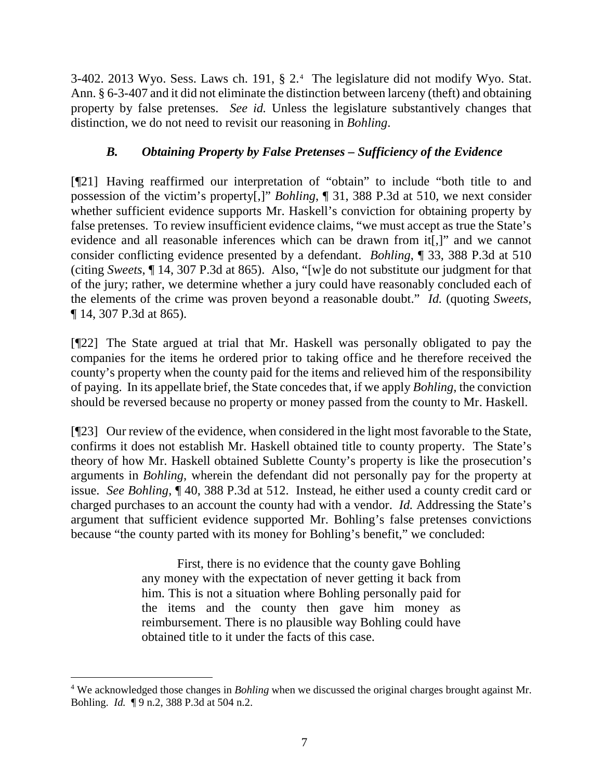3-402. 2013 Wyo. Sess. Laws ch. 191, § 2.[4](#page-7-0) The legislature did not modify Wyo. Stat. Ann. § 6-3-407 and it did not eliminate the distinction between larceny (theft) and obtaining property by false pretenses. *See id.* Unless the legislature substantively changes that distinction, we do not need to revisit our reasoning in *Bohling*.

## *B. Obtaining Property by False Pretenses – Sufficiency of the Evidence*

[¶21] Having reaffirmed our interpretation of "obtain" to include "both title to and possession of the victim's property[,]" *Bohling*, ¶ 31, 388 P.3d at 510, we next consider whether sufficient evidence supports Mr. Haskell's conviction for obtaining property by false pretenses. To review insufficient evidence claims, "we must accept as true the State's evidence and all reasonable inferences which can be drawn from it[,]" and we cannot consider conflicting evidence presented by a defendant. *Bohling*, ¶ 33, 388 P.3d at 510 (citing *Sweets*, ¶ 14, 307 P.3d at 865). Also, "[w]e do not substitute our judgment for that of the jury; rather, we determine whether a jury could have reasonably concluded each of the elements of the crime was proven beyond a reasonable doubt." *Id.* (quoting *Sweets*, ¶ 14, 307 P.3d at 865).

[¶22] The State argued at trial that Mr. Haskell was personally obligated to pay the companies for the items he ordered prior to taking office and he therefore received the county's property when the county paid for the items and relieved him of the responsibility of paying. In its appellate brief, the State concedes that, if we apply *Bohling*, the conviction should be reversed because no property or money passed from the county to Mr. Haskell.

[¶23] Our review of the evidence, when considered in the light most favorable to the State, confirms it does not establish Mr. Haskell obtained title to county property. The State's theory of how Mr. Haskell obtained Sublette County's property is like the prosecution's arguments in *Bohling*, wherein the defendant did not personally pay for the property at issue. *See Bohling*, ¶ 40, 388 P.3d at 512. Instead, he either used a county credit card or charged purchases to an account the county had with a vendor. *Id.* Addressing the State's argument that sufficient evidence supported Mr. Bohling's false pretenses convictions because "the county parted with its money for Bohling's benefit," we concluded:

> First, there is no evidence that the county gave Bohling any money with the expectation of never getting it back from him. This is not a situation where Bohling personally paid for the items and the county then gave him money as reimbursement. There is no plausible way Bohling could have obtained title to it under the facts of this case.

<span id="page-7-0"></span> <sup>4</sup> We acknowledged those changes in *Bohling* when we discussed the original charges brought against Mr. Bohling. *Id.* ¶ 9 n.2, 388 P.3d at 504 n.2.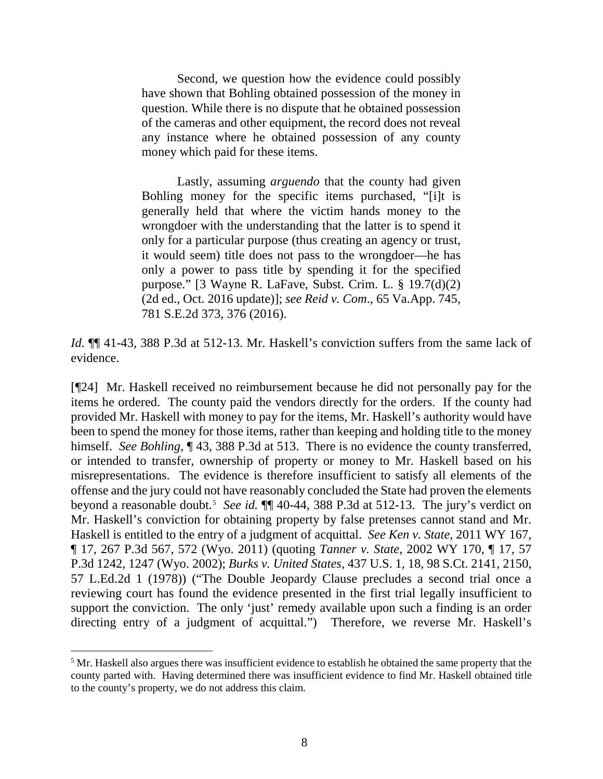Second, we question how the evidence could possibly have shown that Bohling obtained possession of the money in question. While there is no dispute that he obtained possession of the cameras and other equipment, the record does not reveal any instance where he obtained possession of any county money which paid for these items.

Lastly, assuming *arguendo* that the county had given Bohling money for the specific items purchased, "[i]t is generally held that where the victim hands money to the wrongdoer with the understanding that the latter is to spend it only for a particular purpose (thus creating an agency or trust, it would seem) title does not pass to the wrongdoer—he has only a power to pass title by spending it for the specified purpose." [3 Wayne R. LaFave, Subst. Crim. L. § 19.7(d)(2) (2d ed., Oct. 2016 update)]; *see Reid v. Com*., 65 Va.App. 745, 781 S.E.2d 373, 376 (2016).

*Id.* ¶¶ 41-43, 388 P.3d at 512-13. Mr. Haskell's conviction suffers from the same lack of evidence.

[¶24] Mr. Haskell received no reimbursement because he did not personally pay for the items he ordered. The county paid the vendors directly for the orders. If the county had provided Mr. Haskell with money to pay for the items, Mr. Haskell's authority would have been to spend the money for those items, rather than keeping and holding title to the money himself. *See Bohling*, 143, 388 P.3d at 513. There is no evidence the county transferred, or intended to transfer, ownership of property or money to Mr. Haskell based on his misrepresentations. The evidence is therefore insufficient to satisfy all elements of the offense and the jury could not have reasonably concluded the State had proven the elements beyond a reasonable doubt.[5](#page-8-0) *See id.* ¶¶ 40-44, 388 P.3d at 512-13. The jury's verdict on Mr. Haskell's conviction for obtaining property by false pretenses cannot stand and Mr. Haskell is entitled to the entry of a judgment of acquittal. *See Ken v. State*, 2011 WY 167, ¶ 17, 267 P.3d 567, 572 (Wyo. 2011) (quoting *Tanner v. State*, 2002 WY 170, ¶ 17, 57 P.3d 1242, 1247 (Wyo. 2002); *Burks v. United States*, 437 U.S. 1, 18, 98 S.Ct. 2141, 2150, 57 L.Ed.2d 1 (1978)) ("The Double Jeopardy Clause precludes a second trial once a reviewing court has found the evidence presented in the first trial legally insufficient to support the conviction. The only 'just' remedy available upon such a finding is an order directing entry of a judgment of acquittal.") Therefore, we reverse Mr. Haskell's

<span id="page-8-0"></span><sup>&</sup>lt;sup>5</sup> Mr. Haskell also argues there was insufficient evidence to establish he obtained the same property that the county parted with. Having determined there was insufficient evidence to find Mr. Haskell obtained title to the county's property, we do not address this claim.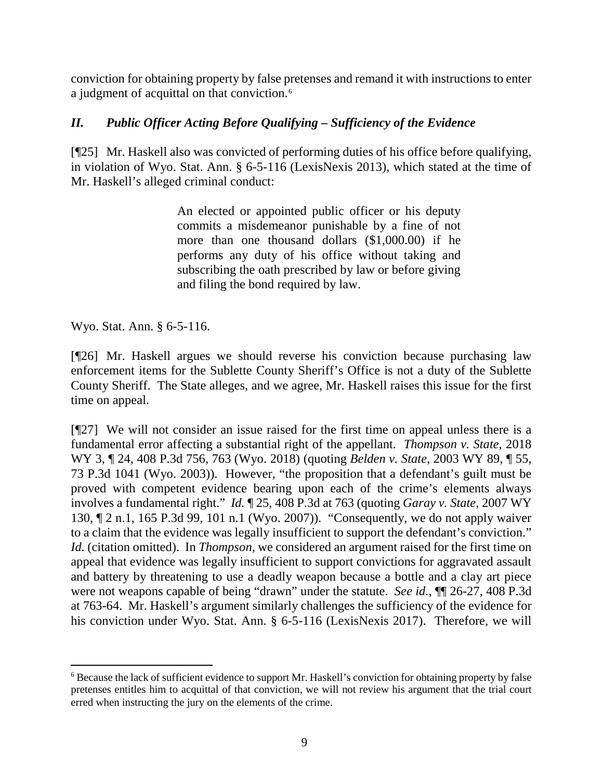conviction for obtaining property by false pretenses and remand it with instructions to enter a judgment of acquittal on that conviction.<sup>[6](#page-9-0)</sup>

## *II. Public Officer Acting Before Qualifying – Sufficiency of the Evidence*

[¶25] Mr. Haskell also was convicted of performing duties of his office before qualifying, in violation of Wyo. Stat. Ann. § 6-5-116 (LexisNexis 2013), which stated at the time of Mr. Haskell's alleged criminal conduct:

> An elected or appointed public officer or his deputy commits a misdemeanor punishable by a fine of not more than one thousand dollars (\$1,000.00) if he performs any duty of his office without taking and subscribing the oath prescribed by law or before giving and filing the bond required by law.

Wyo. Stat. Ann. § 6-5-116.

[¶26] Mr. Haskell argues we should reverse his conviction because purchasing law enforcement items for the Sublette County Sheriff's Office is not a duty of the Sublette County Sheriff. The State alleges, and we agree, Mr. Haskell raises this issue for the first time on appeal.

[¶27] We will not consider an issue raised for the first time on appeal unless there is a fundamental error affecting a substantial right of the appellant. *Thompson v. State*, 2018 WY 3, ¶ 24, 408 P.3d 756, 763 (Wyo. 2018) (quoting *Belden v. State*, 2003 WY 89, ¶ 55, 73 P.3d 1041 (Wyo. 2003)). However, "the proposition that a defendant's guilt must be proved with competent evidence bearing upon each of the crime's elements always involves a fundamental right." *Id.* ¶ 25, 408 P.3d at 763 (quoting *Garay v. State*, 2007 WY 130, ¶ 2 n.1, 165 P.3d 99, 101 n.1 (Wyo. 2007)). "Consequently, we do not apply waiver to a claim that the evidence was legally insufficient to support the defendant's conviction." *Id.* (citation omitted). In *Thompson*, we considered an argument raised for the first time on appeal that evidence was legally insufficient to support convictions for aggravated assault and battery by threatening to use a deadly weapon because a bottle and a clay art piece were not weapons capable of being "drawn" under the statute. *See id.*,  $\P\P$  26-27, 408 P.3d at 763-64. Mr. Haskell's argument similarly challenges the sufficiency of the evidence for his conviction under Wyo. Stat. Ann. § 6-5-116 (LexisNexis 2017). Therefore, we will

<span id="page-9-0"></span> <sup>6</sup> Because the lack of sufficient evidence to support Mr. Haskell's conviction for obtaining property by false pretenses entitles him to acquittal of that conviction, we will not review his argument that the trial court erred when instructing the jury on the elements of the crime.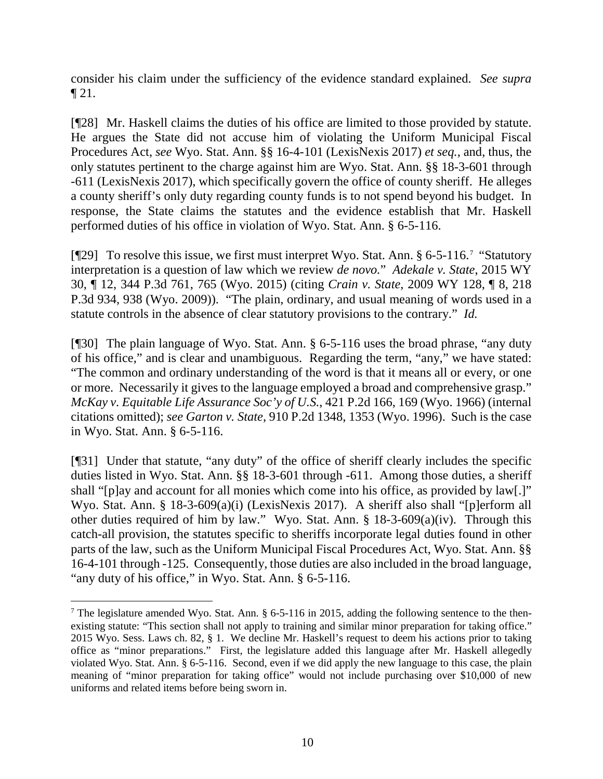consider his claim under the sufficiency of the evidence standard explained. *See supra* ¶ 21.

[¶28] Mr. Haskell claims the duties of his office are limited to those provided by statute. He argues the State did not accuse him of violating the Uniform Municipal Fiscal Procedures Act, *see* Wyo. Stat. Ann. §§ 16-4-101 (LexisNexis 2017) *et seq.*, and, thus, the only statutes pertinent to the charge against him are Wyo. Stat. Ann. §§ 18-3-601 through -611 (LexisNexis 2017), which specifically govern the office of county sheriff. He alleges a county sheriff's only duty regarding county funds is to not spend beyond his budget. In response, the State claims the statutes and the evidence establish that Mr. Haskell performed duties of his office in violation of Wyo. Stat. Ann. § 6-5-116.

[¶29] To resolve this issue, we first must interpret Wyo. Stat. Ann. § 6-5-116.[7](#page-10-0) "Statutory interpretation is a question of law which we review *de novo.*" *Adekale v. State*, 2015 WY 30, ¶ 12, 344 P.3d 761, 765 (Wyo. 2015) (citing *Crain v. State*, 2009 WY 128, ¶ 8, 218 P.3d 934, 938 (Wyo. 2009)). "The plain, ordinary, and usual meaning of words used in a statute controls in the absence of clear statutory provisions to the contrary." *Id.* 

[¶30] The plain language of Wyo. Stat. Ann. § 6-5-116 uses the broad phrase, "any duty of his office," and is clear and unambiguous. Regarding the term, "any," we have stated: "The common and ordinary understanding of the word is that it means all or every, or one or more. Necessarily it gives to the language employed a broad and comprehensive grasp." *McKay v. Equitable Life Assurance Soc'y of U.S.*, 421 P.2d 166, 169 (Wyo. 1966) (internal citations omitted); *see Garton v. State*, 910 P.2d 1348, 1353 (Wyo. 1996). Such is the case in Wyo. Stat. Ann. § 6-5-116.

[¶31] Under that statute, "any duty" of the office of sheriff clearly includes the specific duties listed in Wyo. Stat. Ann. §§ 18-3-601 through -611. Among those duties, a sheriff shall "[p]ay and account for all monies which come into his office, as provided by law[.]" Wyo. Stat. Ann. § 18-3-609(a)(i) (LexisNexis 2017). A sheriff also shall "[p]erform all other duties required of him by law." Wyo. Stat. Ann. § 18-3-609(a)(iv). Through this catch-all provision, the statutes specific to sheriffs incorporate legal duties found in other parts of the law, such as the Uniform Municipal Fiscal Procedures Act, Wyo. Stat. Ann. §§ 16-4-101 through -125. Consequently, those duties are also included in the broad language, "any duty of his office," in Wyo. Stat. Ann. § 6-5-116.

<span id="page-10-0"></span><sup>&</sup>lt;sup>7</sup> The legislature amended Wyo. Stat. Ann. § 6-5-116 in 2015, adding the following sentence to the thenexisting statute: "This section shall not apply to training and similar minor preparation for taking office." 2015 Wyo. Sess. Laws ch. 82, § 1. We decline Mr. Haskell's request to deem his actions prior to taking office as "minor preparations." First, the legislature added this language after Mr. Haskell allegedly violated Wyo. Stat. Ann. § 6-5-116. Second, even if we did apply the new language to this case, the plain meaning of "minor preparation for taking office" would not include purchasing over \$10,000 of new uniforms and related items before being sworn in.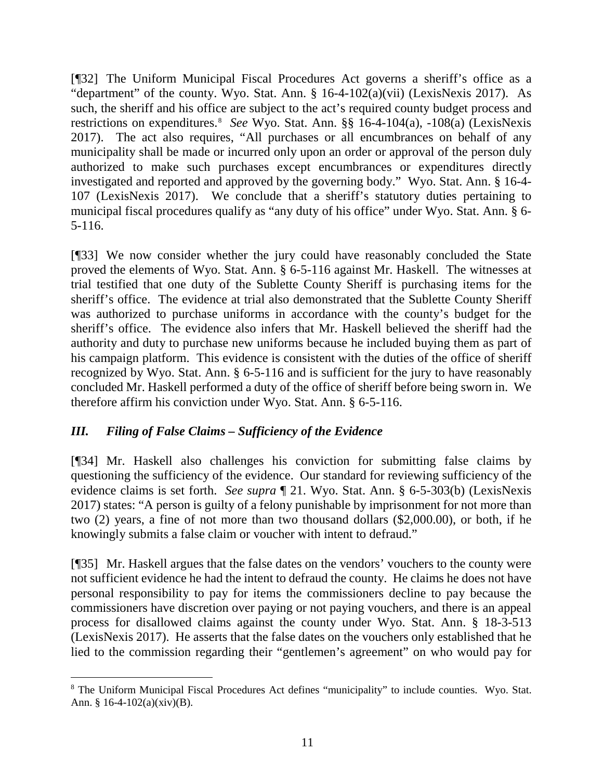[¶32] The Uniform Municipal Fiscal Procedures Act governs a sheriff's office as a "department" of the county. Wyo. Stat. Ann. § 16-4-102(a)(vii) (LexisNexis 2017). As such, the sheriff and his office are subject to the act's required county budget process and restrictions on expenditures.[8](#page-11-0) *See* Wyo. Stat. Ann. §§ 16-4-104(a), -108(a) (LexisNexis 2017). The act also requires, "All purchases or all encumbrances on behalf of any municipality shall be made or incurred only upon an order or approval of the person duly authorized to make such purchases except encumbrances or expenditures directly investigated and reported and approved by the governing body." Wyo. Stat. Ann. § 16-4- 107 (LexisNexis 2017). We conclude that a sheriff's statutory duties pertaining to municipal fiscal procedures qualify as "any duty of his office" under Wyo. Stat. Ann. § 6- 5-116.

[¶33] We now consider whether the jury could have reasonably concluded the State proved the elements of Wyo. Stat. Ann. § 6-5-116 against Mr. Haskell. The witnesses at trial testified that one duty of the Sublette County Sheriff is purchasing items for the sheriff's office. The evidence at trial also demonstrated that the Sublette County Sheriff was authorized to purchase uniforms in accordance with the county's budget for the sheriff's office. The evidence also infers that Mr. Haskell believed the sheriff had the authority and duty to purchase new uniforms because he included buying them as part of his campaign platform. This evidence is consistent with the duties of the office of sheriff recognized by Wyo. Stat. Ann. § 6-5-116 and is sufficient for the jury to have reasonably concluded Mr. Haskell performed a duty of the office of sheriff before being sworn in. We therefore affirm his conviction under Wyo. Stat. Ann. § 6-5-116.

## *III. Filing of False Claims – Sufficiency of the Evidence*

[¶34] Mr. Haskell also challenges his conviction for submitting false claims by questioning the sufficiency of the evidence. Our standard for reviewing sufficiency of the evidence claims is set forth. *See supra* ¶ 21. Wyo. Stat. Ann. § 6-5-303(b) (LexisNexis 2017) states: "A person is guilty of a felony punishable by imprisonment for not more than two (2) years, a fine of not more than two thousand dollars (\$2,000.00), or both, if he knowingly submits a false claim or voucher with intent to defraud."

[¶35] Mr. Haskell argues that the false dates on the vendors' vouchers to the county were not sufficient evidence he had the intent to defraud the county. He claims he does not have personal responsibility to pay for items the commissioners decline to pay because the commissioners have discretion over paying or not paying vouchers, and there is an appeal process for disallowed claims against the county under Wyo. Stat. Ann. § 18-3-513 (LexisNexis 2017). He asserts that the false dates on the vouchers only established that he lied to the commission regarding their "gentlemen's agreement" on who would pay for

<span id="page-11-0"></span> <sup>8</sup> The Uniform Municipal Fiscal Procedures Act defines "municipality" to include counties. Wyo. Stat. Ann. § 16-4-102(a)(xiv)(B).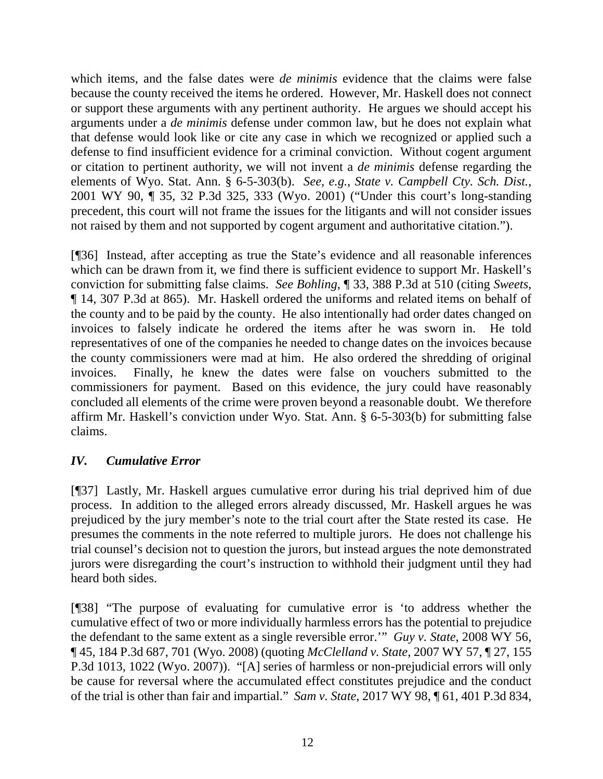which items, and the false dates were *de minimis* evidence that the claims were false because the county received the items he ordered. However, Mr. Haskell does not connect or support these arguments with any pertinent authority. He argues we should accept his arguments under a *de minimis* defense under common law, but he does not explain what that defense would look like or cite any case in which we recognized or applied such a defense to find insufficient evidence for a criminal conviction. Without cogent argument or citation to pertinent authority, we will not invent a *de minimis* defense regarding the elements of Wyo. Stat. Ann. § 6-5-303(b). *See, e.g.*, *State v. Campbell Cty. Sch. Dist.*, 2001 WY 90, ¶ 35, 32 P.3d 325, 333 (Wyo. 2001) ("Under this court's long-standing precedent, this court will not frame the issues for the litigants and will not consider issues not raised by them and not supported by cogent argument and authoritative citation.").

[¶36] Instead, after accepting as true the State's evidence and all reasonable inferences which can be drawn from it, we find there is sufficient evidence to support Mr. Haskell's conviction for submitting false claims. *See Bohling*, ¶ 33, 388 P.3d at 510 (citing *Sweets*, ¶ 14, 307 P.3d at 865). Mr. Haskell ordered the uniforms and related items on behalf of the county and to be paid by the county. He also intentionally had order dates changed on invoices to falsely indicate he ordered the items after he was sworn in. He told representatives of one of the companies he needed to change dates on the invoices because the county commissioners were mad at him. He also ordered the shredding of original invoices. Finally, he knew the dates were false on vouchers submitted to the commissioners for payment. Based on this evidence, the jury could have reasonably concluded all elements of the crime were proven beyond a reasonable doubt. We therefore affirm Mr. Haskell's conviction under Wyo. Stat. Ann. § 6-5-303(b) for submitting false claims.

### *IV. Cumulative Error*

[¶37] Lastly, Mr. Haskell argues cumulative error during his trial deprived him of due process. In addition to the alleged errors already discussed, Mr. Haskell argues he was prejudiced by the jury member's note to the trial court after the State rested its case. He presumes the comments in the note referred to multiple jurors. He does not challenge his trial counsel's decision not to question the jurors, but instead argues the note demonstrated jurors were disregarding the court's instruction to withhold their judgment until they had heard both sides.

[¶38] "The purpose of evaluating for cumulative error is 'to address whether the cumulative effect of two or more individually harmless errors has the potential to prejudice the defendant to the same extent as a single reversible error.'" *Guy v. State*, 2008 WY 56, ¶ 45, 184 P.3d 687, 701 (Wyo. 2008) (quoting *McClelland v. State*, 2007 WY 57, ¶ 27, 155 P.3d 1013, 1022 (Wyo. 2007)). "[A] series of harmless or non-prejudicial errors will only be cause for reversal where the accumulated effect constitutes prejudice and the conduct of the trial is other than fair and impartial." *Sam v. State*, 2017 WY 98, ¶ 61, 401 P.3d 834,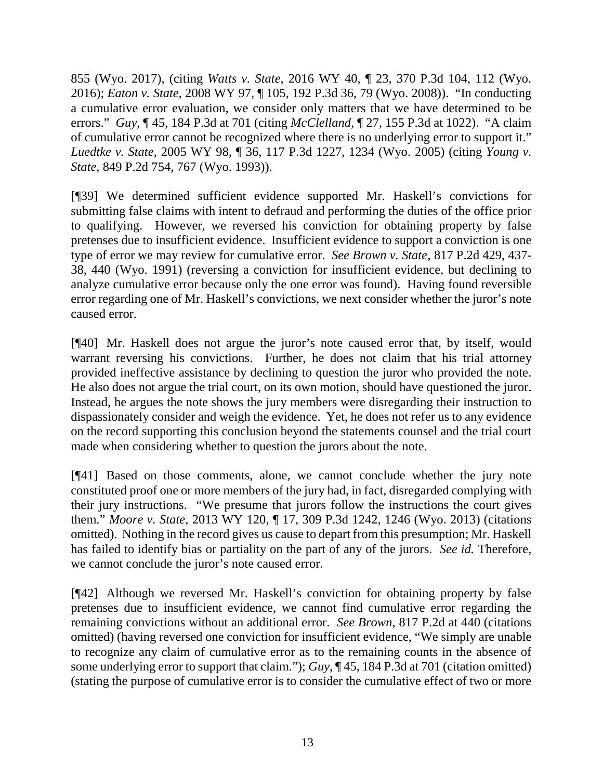855 (Wyo. 2017), (citing *Watts v. State*, 2016 WY 40, ¶ 23, 370 P.3d 104, 112 (Wyo. 2016); *Eaton v. State*, 2008 WY 97, ¶ 105, 192 P.3d 36, 79 (Wyo. 2008)). "In conducting a cumulative error evaluation, we consider only matters that we have determined to be errors." *Guy*, ¶ 45, 184 P.3d at 701 (citing *McClelland*, ¶ 27, 155 P.3d at 1022). "A claim of cumulative error cannot be recognized where there is no underlying error to support it." *Luedtke v. State*, 2005 WY 98, ¶ 36, 117 P.3d 1227, 1234 (Wyo. 2005) (citing *Young v. State*, 849 P.2d 754, 767 (Wyo. 1993)).

[¶39] We determined sufficient evidence supported Mr. Haskell's convictions for submitting false claims with intent to defraud and performing the duties of the office prior to qualifying. However, we reversed his conviction for obtaining property by false pretenses due to insufficient evidence. Insufficient evidence to support a conviction is one type of error we may review for cumulative error. *See Brown v. State*, 817 P.2d 429, 437- 38, 440 (Wyo. 1991) (reversing a conviction for insufficient evidence, but declining to analyze cumulative error because only the one error was found). Having found reversible error regarding one of Mr. Haskell's convictions, we next consider whether the juror's note caused error.

[¶40] Mr. Haskell does not argue the juror's note caused error that, by itself, would warrant reversing his convictions. Further, he does not claim that his trial attorney provided ineffective assistance by declining to question the juror who provided the note. He also does not argue the trial court, on its own motion, should have questioned the juror. Instead, he argues the note shows the jury members were disregarding their instruction to dispassionately consider and weigh the evidence. Yet, he does not refer us to any evidence on the record supporting this conclusion beyond the statements counsel and the trial court made when considering whether to question the jurors about the note.

[¶41] Based on those comments, alone, we cannot conclude whether the jury note constituted proof one or more members of the jury had, in fact, disregarded complying with their jury instructions. "We presume that jurors follow the instructions the court gives them." *Moore v. State*, 2013 WY 120, ¶ 17, 309 P.3d 1242, 1246 (Wyo. 2013) (citations omitted). Nothing in the record gives us cause to depart from this presumption; Mr. Haskell has failed to identify bias or partiality on the part of any of the jurors. *See id.* Therefore, we cannot conclude the juror's note caused error.

[¶42] Although we reversed Mr. Haskell's conviction for obtaining property by false pretenses due to insufficient evidence, we cannot find cumulative error regarding the remaining convictions without an additional error. *See Brown*, 817 P.2d at 440 (citations omitted) (having reversed one conviction for insufficient evidence, "We simply are unable to recognize any claim of cumulative error as to the remaining counts in the absence of some underlying error to support that claim."); *Guy*, ¶ 45, 184 P.3d at 701 (citation omitted) (stating the purpose of cumulative error is to consider the cumulative effect of two or more